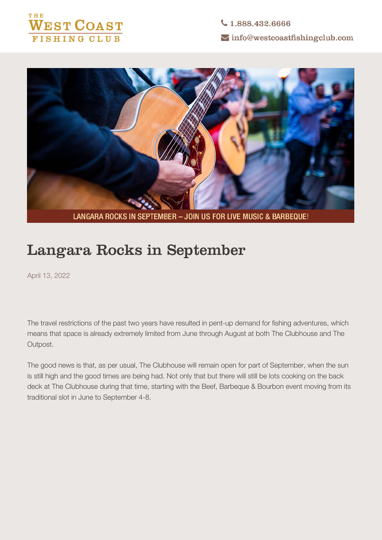



LANGARA ROCKS IN SEPTEMBER - JOIN US FOR LIVE MUSIC & BARBEQUE!

## **Langara Rocks in September**

April 13, 2022

The travel restrictions of the past two years have resulted in pent-up demand for fishing adventures, which means that space is already extremely limited from June through August at both The Clubhouse and The Outpost.

The good news is that, as per usual, The Clubhouse will remain open for part of September, when the sun is still high and the good times are being had. Not only that but there will still be lots cooking on the back deck at The Clubhouse during that time, starting with the **Beef, Barbeque & Bourbon** event moving from its traditional slot in June to September 4-8.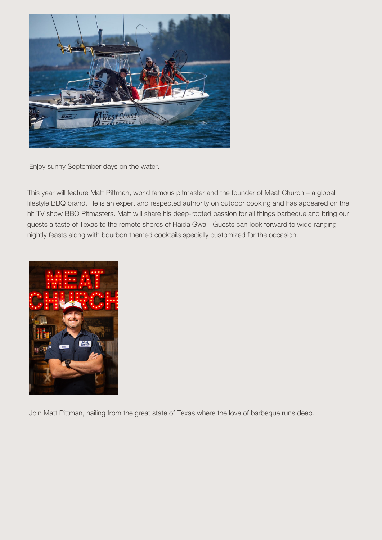

*Enjoy sunny September days on the water.*

This year will feature **Matt Pittman**, world famous pitmaster and the founder of Meat Church – a global lifestyle BBQ brand. He is an expert and respected authority on outdoor cooking and has appeared on the hit TV show BBQ Pitmasters. Matt will share his deep-rooted passion for all things barbeque and bring our guests a taste of Texas to the remote shores of Haida Gwaii. Guests can look forward to wide-ranging nightly feasts along with bourbon themed cocktails specially customized for the occasion.



*Join Matt Pittman, hailing from the great state of Texas where the love of barbeque runs deep.*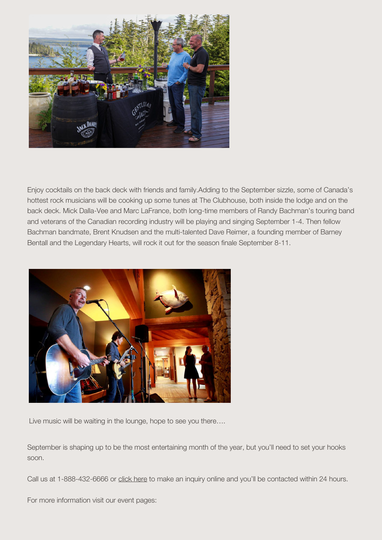

*Enjoy cocktails on the back deck with friends and family.*Adding to the September sizzle, some of Canada's hottest rock musicians will be cooking up some tunes at The Clubhouse, both inside the lodge and on the back deck. **Mick Dalla-Vee** and **Marc LaFrance**, both long-time members of **Randy Bachman's** touring band and veterans of the Canadian recording industry will be playing and singing September 1-4. Then fellow Bachman bandmate, **Brent Knudsen** and the multi-talented **Dave Reimer**, a founding member of **Barney Bentall and the Legendary Hearts**, will rock it out for the season finale September 8-11.



*Live music will be waiting in the lounge, hope to see you there….*

**September is shaping up to be the most entertaining month of the year, but you'll need to set your hooks soon.**

Call us at 1-888-432-6666 or click here to make an inquiry online and you'll be contacted within 24 hours.

For more information visit our event pages: